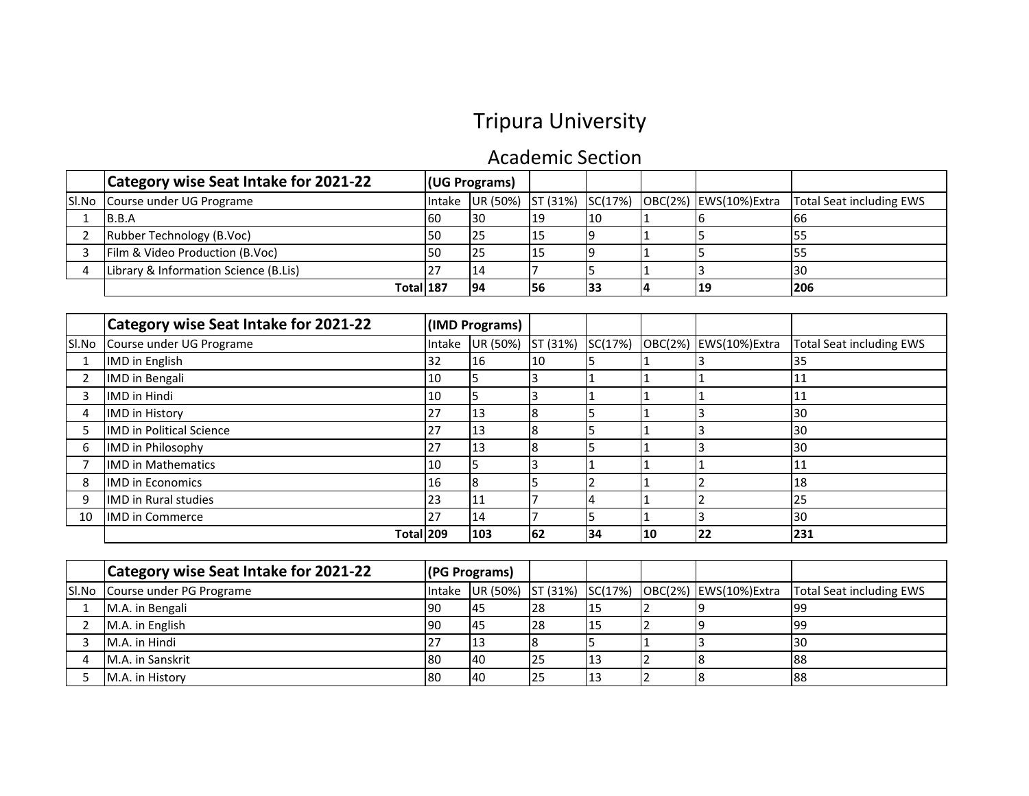## Tripura University

## Academic Section

| Category wise Seat Intake for 2021-22 | (UG Programs) |     |     |     |                                                         |                          |
|---------------------------------------|---------------|-----|-----|-----|---------------------------------------------------------|--------------------------|
| SI.No Course under UG Programe        |               |     |     |     | Intake UR (50%) ST (31%) SC(17%) OBC(2%) EWS(10%) Extra | Total Seat including EWS |
| <b>IB.B.A</b>                         |               | 130 | 19  | 110 |                                                         | 166                      |
| Rubber Technology (B.Voc)             | 50            | 125 | 15  |     |                                                         | 55                       |
| Film & Video Production (B.Voc)       |               | 125 | 15  |     |                                                         | לכו                      |
| Library & Information Science (B.Lis) |               | 14  |     |     |                                                         | 130                      |
| Total 187                             |               | 194 | '56 |     | 19                                                      | 1206                     |

|    | <b>Category wise Seat Intake for 2021-22</b> |        | (IMD Programs) |          |         |    |                       |                                 |
|----|----------------------------------------------|--------|----------------|----------|---------|----|-----------------------|---------------------------------|
|    | SI.No Course under UG Programe               | Intake | UR (50%)       | ST (31%) | SC(17%) |    | OBC(2%) EWS(10%)Extra | <b>Total Seat including EWS</b> |
|    | IMD in English                               | 32     | 16             | 10       |         |    |                       | 35                              |
|    | <b>IMD</b> in Bengali                        | 10     |                |          |         |    |                       | 11                              |
| 3  | <b>IMD</b> in Hindi                          | 10     |                |          |         |    |                       | 11                              |
| 4  | <b>IMD</b> in History                        | 27     | l13            |          |         |    |                       | 30                              |
| Ь  | <b>IMD</b> in Political Science              | 27     | 13             |          |         |    |                       | 30                              |
| 6  | IMD in Philosophy                            | 27     | 13             |          |         |    |                       | 30                              |
|    | <b>IMD in Mathematics</b>                    | 10     |                |          |         |    |                       | 11                              |
| 8  | <b>IMD in Economics</b>                      | 16     |                |          |         |    |                       | 18                              |
| 9  | <b>IMD</b> in Rural studies                  | 23     | 111            |          |         |    |                       | 25                              |
| 10 | <b>IMD</b> in Commerce                       | 27     | 14             |          |         |    |                       | 30                              |
|    | Total 209                                    |        | 103            | 62       | 34      | 10 | 22                    | 231                             |

| <b>Category wise Seat Intake for 2021-22</b> | (PG Programs) |           |                 |     |                                                         |                          |
|----------------------------------------------|---------------|-----------|-----------------|-----|---------------------------------------------------------|--------------------------|
| SI.No Course under PG Programe               |               |           |                 |     | Intake UR (50%) ST (31%) SC(17%) OBC(2%) EWS(10%) Extra | Total Seat including EWS |
| M.A. in Bengali                              | 90            | 145       | 28              | כבו |                                                         | l99                      |
| M.A. in English                              | 190           | 145       | <b>28</b>       | ᆦ   |                                                         | 199                      |
| M.A. in Hindi                                |               | IJ        |                 |     |                                                         | 130                      |
| <b>M.A.</b> in Sanskrit                      | 180           | <b>40</b> | I <sub>25</sub> |     |                                                         | 188                      |
| <b>M.A.</b> in History                       | 180           | <b>40</b> | I <sub>25</sub> |     |                                                         | 188                      |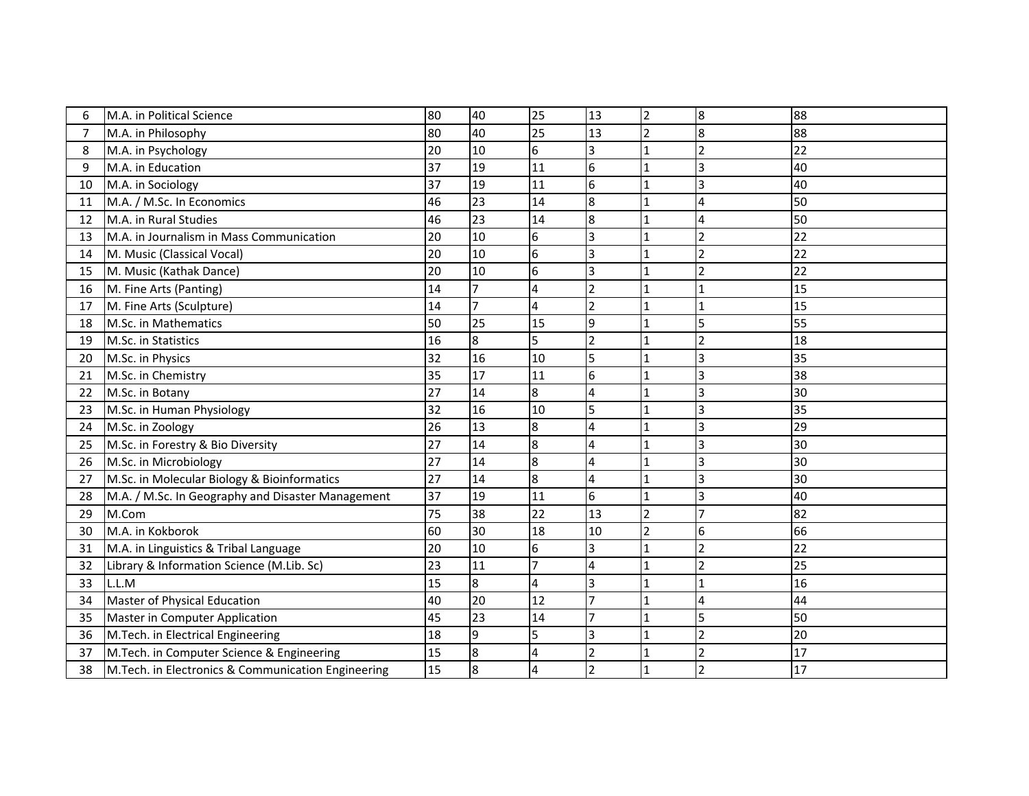| 6              | M.A. in Political Science                          | 80 | 40 | 25               | 13                       | $\overline{2}$ | 8                        | 88 |
|----------------|----------------------------------------------------|----|----|------------------|--------------------------|----------------|--------------------------|----|
| $\overline{7}$ | M.A. in Philosophy                                 | 80 | 40 | 25               | 13                       | $\mathfrak{D}$ | 8                        | 88 |
| 8              | M.A. in Psychology                                 | 20 | 10 | 6                | 3                        |                | 2                        | 22 |
| 9              | M.A. in Education                                  | 37 | 19 | 11               | 6                        |                | 3                        | 40 |
| 10             | M.A. in Sociology                                  | 37 | 19 | 11               | 6                        |                | 3                        | 40 |
| 11             | M.A. / M.Sc. In Economics                          | 46 | 23 | 14               | 8                        |                |                          | 50 |
| 12             | M.A. in Rural Studies                              | 46 | 23 | 14               | 8                        |                | 4                        | 50 |
| 13             | M.A. in Journalism in Mass Communication           | 20 | 10 | $\boldsymbol{6}$ | 3                        |                | $\overline{\phantom{a}}$ | 22 |
| 14             | M. Music (Classical Vocal)                         | 20 | 10 | 6                | 3                        |                | $\overline{2}$           | 22 |
| 15             | M. Music (Kathak Dance)                            | 20 | 10 | 6                | 3                        |                | $\overline{\phantom{a}}$ | 22 |
| 16             | M. Fine Arts (Panting)                             | 14 | 17 | $\overline{4}$   | $\overline{\phantom{0}}$ |                |                          | 15 |
| 17             | M. Fine Arts (Sculpture)                           | 14 |    | 4                | $\overline{2}$           |                |                          | 15 |
| 18             | M.Sc. in Mathematics                               | 50 | 25 | 15               | 9                        |                | 5                        | 55 |
| 19             | M.Sc. in Statistics                                | 16 | 8  | 5                | $\overline{2}$           |                | $\mathfrak{p}$           | 18 |
| 20             | M.Sc. in Physics                                   | 32 | 16 | 10               | 5                        |                | 3                        | 35 |
| 21             | M.Sc. in Chemistry                                 | 35 | 17 | 11               | 6                        |                | 3                        | 38 |
| 22             | M.Sc. in Botany                                    | 27 | 14 | 8                | 4                        |                |                          | 30 |
| 23             | M.Sc. in Human Physiology                          | 32 | 16 | 10               | 5                        |                |                          | 35 |
| 24             | M.Sc. in Zoology                                   | 26 | 13 | 8                | 4                        |                |                          | 29 |
| 25             | M.Sc. in Forestry & Bio Diversity                  | 27 | 14 | 8                | 4                        |                | 3                        | 30 |
| 26             | M.Sc. in Microbiology                              | 27 | 14 | 8                | 4                        |                | 3                        | 30 |
| 27             | M.Sc. in Molecular Biology & Bioinformatics        | 27 | 14 | $\overline{8}$   | 4                        |                | 3                        | 30 |
| 28             | M.A. / M.Sc. In Geography and Disaster Management  | 37 | 19 | 11               | 6                        |                | 3                        | 40 |
| 29             | M.Com                                              | 75 | 38 | 22               | 13                       | $\overline{2}$ |                          | 82 |
| 30             | M.A. in Kokborok                                   | 60 | 30 | 18               | 10                       |                | 6                        | 66 |
| 31             | M.A. in Linguistics & Tribal Language              | 20 | 10 | 6                | 3                        |                | $\overline{2}$           | 22 |
| 32             | Library & Information Science (M.Lib. Sc)          | 23 | 11 |                  | 4                        |                | 2                        | 25 |
| 33             | L.L.M                                              | 15 | 8  | 4                | 3                        |                | 1                        | 16 |
| 34             | Master of Physical Education                       | 40 | 20 | 12               | $\overline{7}$           |                | 4                        | 44 |
| 35             | <b>Master in Computer Application</b>              | 45 | 23 | 14               | $\overline{7}$           |                | 5                        | 50 |
| 36             | M.Tech. in Electrical Engineering                  | 18 | 9  | 5                | 3                        |                | 2                        | 20 |
| 37             | M.Tech. in Computer Science & Engineering          | 15 | 8  | 4                | $\overline{\phantom{0}}$ |                |                          | 17 |
| 38             | M.Tech. in Electronics & Communication Engineering | 15 | 8  | $\overline{4}$   | $\overline{\phantom{0}}$ |                | $\mathcal{P}$            | 17 |